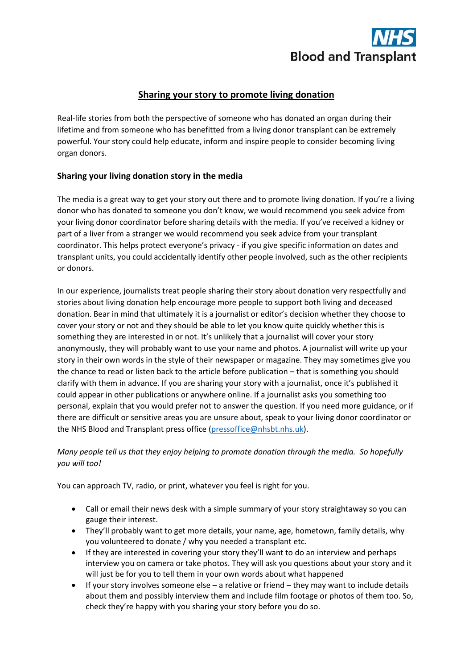

## **Sharing your story to promote living donation**

Real-life stories from both the perspective of someone who has donated an organ during their lifetime and from someone who has benefitted from a living donor transplant can be extremely powerful. Your story could help educate, inform and inspire people to consider becoming living organ donors.

### **Sharing your living donation story in the media**

The media is a great way to get your story out there and to promote living donation. If you're a living donor who has donated to someone you don't know, we would recommend you seek advice from your living donor coordinator before sharing details with the media. If you've received a kidney or part of a liver from a stranger we would recommend you seek advice from your transplant coordinator. This helps protect everyone's privacy - if you give specific information on dates and transplant units, you could accidentally identify other people involved, such as the other recipients or donors.

In our experience, journalists treat people sharing their story about donation very respectfully and stories about living donation help encourage more people to support both living and deceased donation. Bear in mind that ultimately it is a journalist or editor's decision whether they choose to cover your story or not and they should be able to let you know quite quickly whether this is something they are interested in or not. It's unlikely that a journalist will cover your story anonymously, they will probably want to use your name and photos. A journalist will write up your story in their own words in the style of their newspaper or magazine. They may sometimes give you the chance to read or listen back to the article before publication – that is something you should clarify with them in advance. If you are sharing your story with a journalist, once it's published it could appear in other publications or anywhere online. If a journalist asks you something too personal, explain that you would prefer not to answer the question. If you need more guidance, or if there are difficult or sensitive areas you are unsure about, speak to your living donor coordinator or the NHS Blood and Transplant press office [\(pressoffice@nhsbt.nhs.uk\)](mailto:pressoffice@nhsbt.nhs.uk).

### *Many people tell us that they enjoy helping to promote donation through the media. So hopefully you will too!*

You can approach TV, radio, or print, whatever you feel is right for you.

- Call or email their news desk with a simple summary of your story straightaway so you can gauge their interest.
- They'll probably want to get more details, your name, age, hometown, family details, why you volunteered to donate / why you needed a transplant etc.
- If they are interested in covering your story they'll want to do an interview and perhaps interview you on camera or take photos. They will ask you questions about your story and it will just be for you to tell them in your own words about what happened
- If your story involves someone else a relative or friend they may want to include details about them and possibly interview them and include film footage or photos of them too. So, check they're happy with you sharing your story before you do so.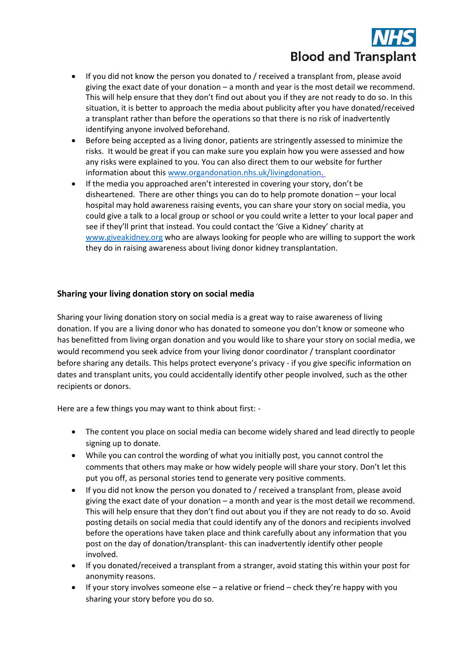# **Blood and Transplant**

- If you did not know the person you donated to / received a transplant from, please avoid giving the exact date of your donation – a month and year is the most detail we recommend. This will help ensure that they don't find out about you if they are not ready to do so. In this situation, it is better to approach the media about publicity after you have donated/received a transplant rather than before the operations so that there is no risk of inadvertently identifying anyone involved beforehand.
- Before being accepted as a living donor, patients are stringently assessed to minimize the risks. It would be great if you can make sure you explain how you were assessed and how any risks were explained to you. You can also direct them to our website for further information about this [www.organdonation.nhs.uk/livingdonation.](http://www.organdonation.nhs.uk/livingdonation)
- If the media you approached aren't interested in covering your story, don't be disheartened. There are other things you can do to help promote donation – your local hospital may hold awareness raising events, you can share your story on social media, you could give a talk to a local group or school or you could write a letter to your local paper and see if they'll print that instead. You could contact the 'Give a Kidney' charity at [www.giveakidney.org](http://www.giveakidney.org/) who are always looking for people who are willing to support the work they do in raising awareness about living donor kidney transplantation.

### **Sharing your living donation story on social media**

Sharing your living donation story on social media is a great way to raise awareness of living donation. If you are a living donor who has donated to someone you don't know or someone who has benefitted from living organ donation and you would like to share your story on social media, we would recommend you seek advice from your living donor coordinator / transplant coordinator before sharing any details. This helps protect everyone's privacy - if you give specific information on dates and transplant units, you could accidentally identify other people involved, such as the other recipients or donors.

Here are a few things you may want to think about first: -

- The content you place on social media can become widely shared and lead directly to people signing up to donate.
- While you can control the wording of what you initially post, you cannot control the comments that others may make or how widely people will share your story. Don't let this put you off, as personal stories tend to generate very positive comments.
- If you did not know the person you donated to / received a transplant from, please avoid giving the exact date of your donation – a month and year is the most detail we recommend. This will help ensure that they don't find out about you if they are not ready to do so. Avoid posting details on social media that could identify any of the donors and recipients involved before the operations have taken place and think carefully about any information that you post on the day of donation/transplant- this can inadvertently identify other people involved.
- If you donated/received a transplant from a stranger, avoid stating this within your post for anonymity reasons.
- If your story involves someone else a relative or friend check they're happy with you sharing your story before you do so.